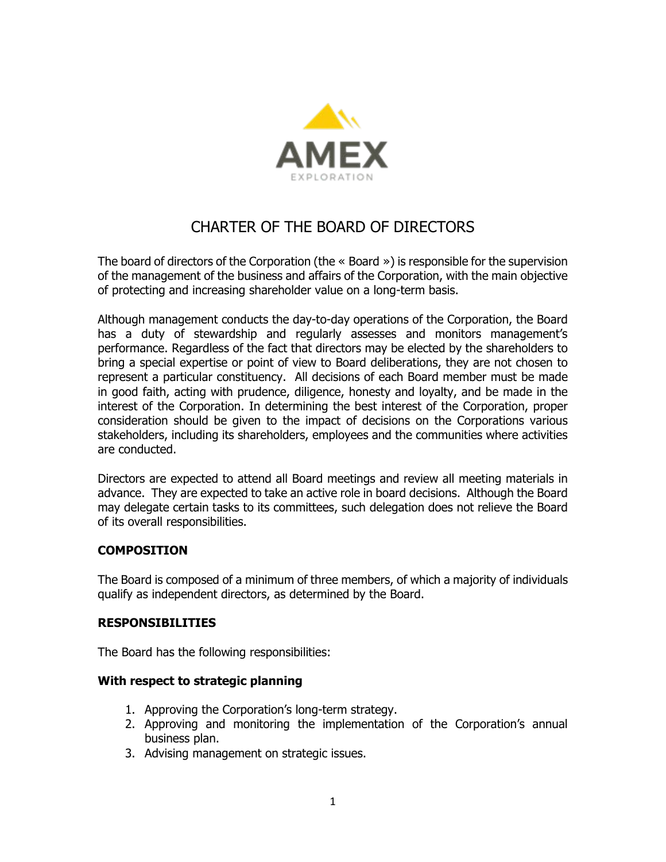

# CHARTER OF THE BOARD OF DIRECTORS

The board of directors of the Corporation (the « Board ») is responsible for the supervision of the management of the business and affairs of the Corporation, with the main objective of protecting and increasing shareholder value on a long-term basis.

Although management conducts the day-to-day operations of the Corporation, the Board has a duty of stewardship and regularly assesses and monitors management's performance. Regardless of the fact that directors may be elected by the shareholders to bring a special expertise or point of view to Board deliberations, they are not chosen to represent a particular constituency. All decisions of each Board member must be made in good faith, acting with prudence, diligence, honesty and loyalty, and be made in the interest of the Corporation. In determining the best interest of the Corporation, proper consideration should be given to the impact of decisions on the Corporations various stakeholders, including its shareholders, employees and the communities where activities are conducted.

Directors are expected to attend all Board meetings and review all meeting materials in advance. They are expected to take an active role in board decisions. Although the Board may delegate certain tasks to its committees, such delegation does not relieve the Board of its overall responsibilities.

### **COMPOSITION**

The Board is composed of a minimum of three members, of which a majority of individuals qualify as independent directors, as determined by the Board.

### **RESPONSIBILITIES**

The Board has the following responsibilities:

#### **With respect to strategic planning**

- 1. Approving the Corporation's long-term strategy.
- 2. Approving and monitoring the implementation of the Corporation's annual business plan.
- 3. Advising management on strategic issues.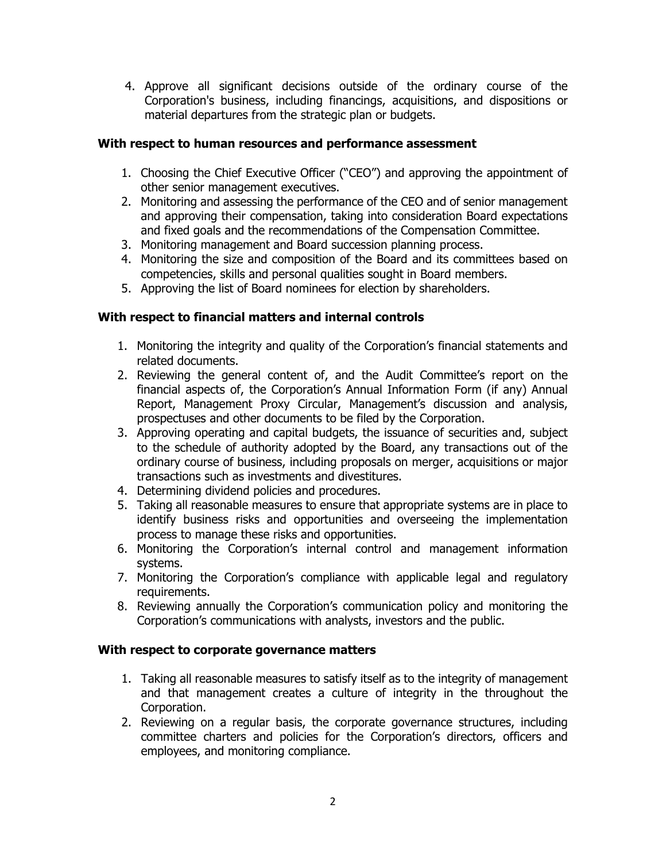4. Approve all significant decisions outside of the ordinary course of the Corporation's business, including financings, acquisitions, and dispositions or material departures from the strategic plan or budgets.

### **With respect to human resources and performance assessment**

- 1. Choosing the Chief Executive Officer ("CEO") and approving the appointment of other senior management executives.
- 2. Monitoring and assessing the performance of the CEO and of senior management and approving their compensation, taking into consideration Board expectations and fixed goals and the recommendations of the Compensation Committee.
- 3. Monitoring management and Board succession planning process.
- 4. Monitoring the size and composition of the Board and its committees based on competencies, skills and personal qualities sought in Board members.
- 5. Approving the list of Board nominees for election by shareholders.

## **With respect to financial matters and internal controls**

- 1. Monitoring the integrity and quality of the Corporation's financial statements and related documents.
- 2. Reviewing the general content of, and the Audit Committee's report on the financial aspects of, the Corporation's Annual Information Form (if any) Annual Report, Management Proxy Circular, Management's discussion and analysis, prospectuses and other documents to be filed by the Corporation.
- 3. Approving operating and capital budgets, the issuance of securities and, subject to the schedule of authority adopted by the Board, any transactions out of the ordinary course of business, including proposals on merger, acquisitions or major transactions such as investments and divestitures.
- 4. Determining dividend policies and procedures.
- 5. Taking all reasonable measures to ensure that appropriate systems are in place to identify business risks and opportunities and overseeing the implementation process to manage these risks and opportunities.
- 6. Monitoring the Corporation's internal control and management information systems.
- 7. Monitoring the Corporation's compliance with applicable legal and regulatory requirements.
- 8. Reviewing annually the Corporation's communication policy and monitoring the Corporation's communications with analysts, investors and the public.

### **With respect to corporate governance matters**

- 1. Taking all reasonable measures to satisfy itself as to the integrity of management and that management creates a culture of integrity in the throughout the Corporation.
- 2. Reviewing on a regular basis, the corporate governance structures, including committee charters and policies for the Corporation's directors, officers and employees, and monitoring compliance.